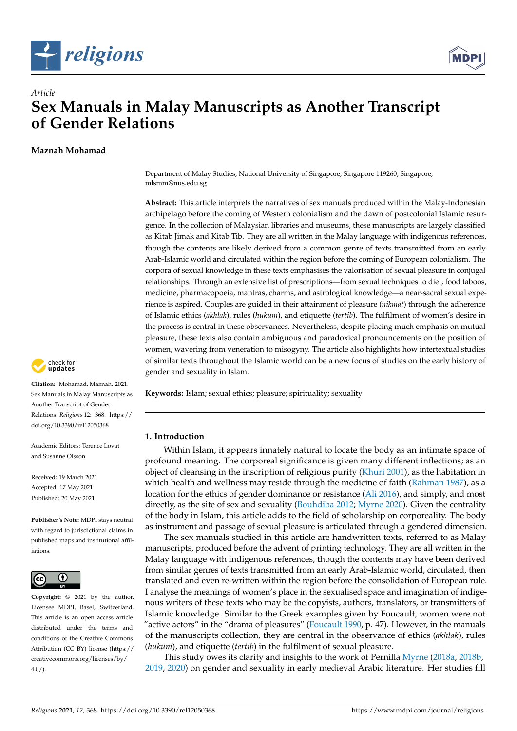



# *Article* **Sex Manuals in Malay Manuscripts as Another Transcript of Gender Relations**

**Maznah Mohamad**



**Citation:** Mohamad, Maznah. 2021. Sex Manuals in Malay Manuscripts as Another Transcript of Gender Relations. *Religions* 12: 368. [https://](https://doi.org/10.3390/rel12050368) [doi.org/10.3390/rel12050368](https://doi.org/10.3390/rel12050368)

Academic Editors: Terence Lovat and Susanne Olsson

Received: 19 March 2021 Accepted: 17 May 2021 Published: 20 May 2021

**Publisher's Note:** MDPI stays neutral with regard to jurisdictional claims in published maps and institutional affiliations.



**Copyright:** © 2021 by the author. Licensee MDPI, Basel, Switzerland. This article is an open access article distributed under the terms and conditions of the Creative Commons Attribution (CC BY) license (https:/[/](https://creativecommons.org/licenses/by/4.0/) [creativecommons.org/licenses/by/](https://creativecommons.org/licenses/by/4.0/)  $4.0/$ ).

Department of Malay Studies, National University of Singapore, Singapore 119260, Singapore; mlsmm@nus.edu.sg

**Abstract:** This article interprets the narratives of sex manuals produced within the Malay-Indonesian archipelago before the coming of Western colonialism and the dawn of postcolonial Islamic resurgence. In the collection of Malaysian libraries and museums, these manuscripts are largely classified as Kitab Jimak and Kitab Tib. They are all written in the Malay language with indigenous references, though the contents are likely derived from a common genre of texts transmitted from an early Arab-Islamic world and circulated within the region before the coming of European colonialism. The corpora of sexual knowledge in these texts emphasises the valorisation of sexual pleasure in conjugal relationships. Through an extensive list of prescriptions—from sexual techniques to diet, food taboos, medicine, pharmacopoeia, mantras, charms, and astrological knowledge—a near-sacral sexual experience is aspired. Couples are guided in their attainment of pleasure (*nikmat*) through the adherence of Islamic ethics (*akhlak*), rules (*hukum*), and etiquette (*tertib*). The fulfilment of women's desire in the process is central in these observances. Nevertheless, despite placing much emphasis on mutual pleasure, these texts also contain ambiguous and paradoxical pronouncements on the position of women, wavering from veneration to misogyny. The article also highlights how intertextual studies of similar texts throughout the Islamic world can be a new focus of studies on the early history of gender and sexuality in Islam.

**Keywords:** Islam; sexual ethics; pleasure; spirituality; sexuality

# **1. Introduction**

Within Islam, it appears innately natural to locate the body as an intimate space of profound meaning. The corporeal significance is given many different inflections; as an object of cleansing in the inscription of religious purity [\(Khuri](#page-14-0) [2001\)](#page-14-0), as the habitation in which health and wellness may reside through the medicine of faith [\(Rahman](#page-14-1) [1987\)](#page-14-1), as a location for the ethics of gender dominance or resistance [\(Ali](#page-13-0) [2016\)](#page-13-0), and simply, and most directly, as the site of sex and sexuality [\(Bouhdiba](#page-13-1) [2012;](#page-13-1) [Myrne](#page-14-2) [2020\)](#page-14-2). Given the centrality of the body in Islam, this article adds to the field of scholarship on corporeality. The body as instrument and passage of sexual pleasure is articulated through a gendered dimension.

The sex manuals studied in this article are handwritten texts, referred to as Malay manuscripts, produced before the advent of printing technology. They are all written in the Malay language with indigenous references, though the contents may have been derived from similar genres of texts transmitted from an early Arab-Islamic world, circulated, then translated and even re-written within the region before the consolidation of European rule. I analyse the meanings of women's place in the sexualised space and imagination of indigenous writers of these texts who may be the copyists, authors, translators, or transmitters of Islamic knowledge. Similar to the Greek examples given by Foucault, women were not "active actors" in the "drama of pleasures" [\(Foucault](#page-14-3) [1990,](#page-14-3) p. 47). However, in the manuals of the manuscripts collection, they are central in the observance of ethics (*akhlak*), rules (*hukum*), and etiquette (*tertib*) in the fulfilment of sexual pleasure.

This study owes its clarity and insights to the work of Pernilla [Myrne](#page-14-4) [\(2018a,](#page-14-4) [2018b,](#page-14-5) [2019,](#page-14-6) [2020\)](#page-14-2) on gender and sexuality in early medieval Arabic literature. Her studies fill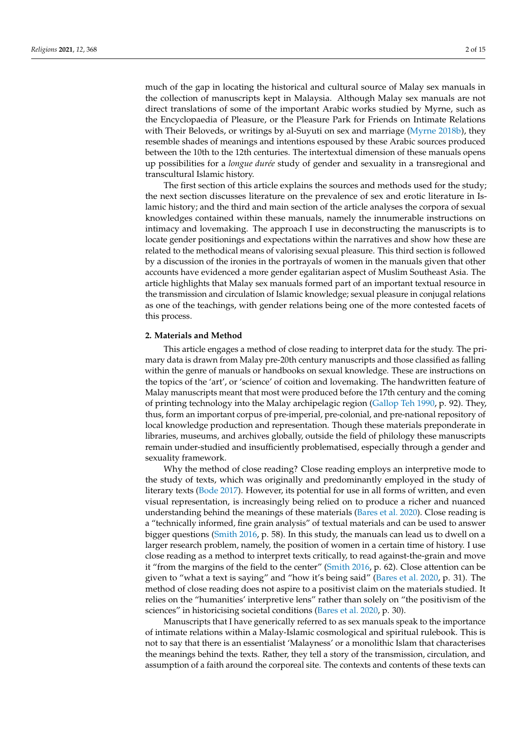much of the gap in locating the historical and cultural source of Malay sex manuals in the collection of manuscripts kept in Malaysia. Although Malay sex manuals are not direct translations of some of the important Arabic works studied by Myrne, such as the Encyclopaedia of Pleasure, or the Pleasure Park for Friends on Intimate Relations with Their Beloveds, or writings by al-Suyuti on sex and marriage [\(Myrne](#page-14-5) [2018b\)](#page-14-5), they resemble shades of meanings and intentions espoused by these Arabic sources produced between the 10th to the 12th centuries. The intertextual dimension of these manuals opens up possibilities for a *longue durée* study of gender and sexuality in a transregional and transcultural Islamic history.

The first section of this article explains the sources and methods used for the study; the next section discusses literature on the prevalence of sex and erotic literature in Islamic history; and the third and main section of the article analyses the corpora of sexual knowledges contained within these manuals, namely the innumerable instructions on intimacy and lovemaking. The approach I use in deconstructing the manuscripts is to locate gender positionings and expectations within the narratives and show how these are related to the methodical means of valorising sexual pleasure. This third section is followed by a discussion of the ironies in the portrayals of women in the manuals given that other accounts have evidenced a more gender egalitarian aspect of Muslim Southeast Asia. The article highlights that Malay sex manuals formed part of an important textual resource in the transmission and circulation of Islamic knowledge; sexual pleasure in conjugal relations as one of the teachings, with gender relations being one of the more contested facets of this process.

## **2. Materials and Method**

This article engages a method of close reading to interpret data for the study. The primary data is drawn from Malay pre-20th century manuscripts and those classified as falling within the genre of manuals or handbooks on sexual knowledge. These are instructions on the topics of the 'art', or 'science' of coition and lovemaking. The handwritten feature of Malay manuscripts meant that most were produced before the 17th century and the coming of printing technology into the Malay archipelagic region [\(Gallop Teh](#page-14-7) [1990,](#page-14-7) p. 92). They, thus, form an important corpus of pre-imperial, pre-colonial, and pre-national repository of local knowledge production and representation. Though these materials preponderate in libraries, museums, and archives globally, outside the field of philology these manuscripts remain under-studied and insufficiently problematised, especially through a gender and sexuality framework.

Why the method of close reading? Close reading employs an interpretive mode to the study of texts, which was originally and predominantly employed in the study of literary texts [\(Bode](#page-13-2) [2017\)](#page-13-2). However, its potential for use in all forms of written, and even visual representation, is increasingly being relied on to produce a richer and nuanced understanding behind the meanings of these materials [\(Bares et al.](#page-13-3) [2020\)](#page-13-3). Close reading is a "technically informed, fine grain analysis" of textual materials and can be used to answer bigger questions [\(Smith](#page-14-8) [2016,](#page-14-8) p. 58). In this study, the manuals can lead us to dwell on a larger research problem, namely, the position of women in a certain time of history. I use close reading as a method to interpret texts critically, to read against-the-grain and move it "from the margins of the field to the center" [\(Smith](#page-14-8) [2016,](#page-14-8) p. 62). Close attention can be given to "what a text is saying" and "how it's being said" [\(Bares et al.](#page-13-3) [2020,](#page-13-3) p. 31). The method of close reading does not aspire to a positivist claim on the materials studied. It relies on the "humanities' interpretive lens" rather than solely on "the positivism of the sciences" in historicising societal conditions [\(Bares et al.](#page-13-3) [2020,](#page-13-3) p. 30).

Manuscripts that I have generically referred to as sex manuals speak to the importance of intimate relations within a Malay-Islamic cosmological and spiritual rulebook. This is not to say that there is an essentialist 'Malayness' or a monolithic Islam that characterises the meanings behind the texts. Rather, they tell a story of the transmission, circulation, and assumption of a faith around the corporeal site. The contexts and contents of these texts can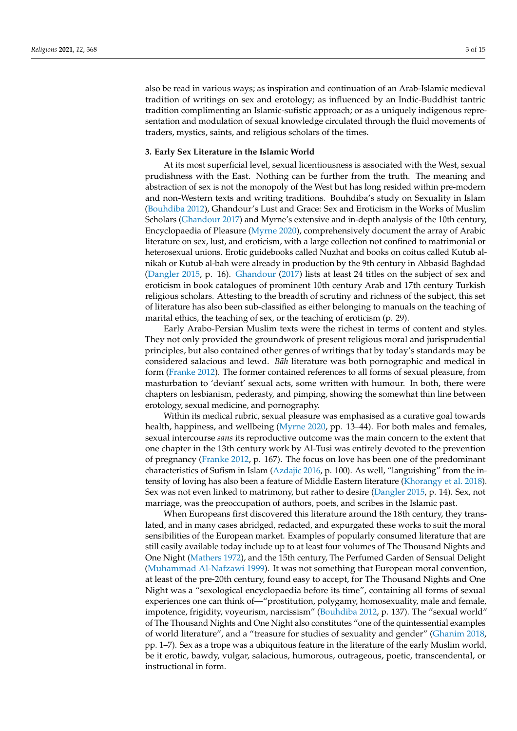also be read in various ways; as inspiration and continuation of an Arab-Islamic medieval tradition of writings on sex and erotology; as influenced by an Indic-Buddhist tantric tradition complimenting an Islamic-sufistic approach; or as a uniquely indigenous representation and modulation of sexual knowledge circulated through the fluid movements of traders, mystics, saints, and religious scholars of the times.

## **3. Early Sex Literature in the Islamic World**

At its most superficial level, sexual licentiousness is associated with the West, sexual prudishness with the East. Nothing can be further from the truth. The meaning and abstraction of sex is not the monopoly of the West but has long resided within pre-modern and non-Western texts and writing traditions. Bouhdiba's study on Sexuality in Islam [\(Bouhdiba](#page-13-1) [2012\)](#page-13-1), Ghandour's Lust and Grace: Sex and Eroticism in the Works of Muslim Scholars [\(Ghandour](#page-14-9) [2017\)](#page-14-9) and Myrne's extensive and in-depth analysis of the 10th century, Encyclopaedia of Pleasure [\(Myrne](#page-14-2) [2020\)](#page-14-2), comprehensively document the array of Arabic literature on sex, lust, and eroticism, with a large collection not confined to matrimonial or heterosexual unions. Erotic guidebooks called Nuzhat and books on coitus called Kutub alnikah or Kutub al-bah were already in production by the 9th century in Abbasid Baghdad [\(Dangler](#page-14-10) [2015,](#page-14-10) p. 16). [Ghandour](#page-14-9) [\(2017\)](#page-14-9) lists at least 24 titles on the subject of sex and eroticism in book catalogues of prominent 10th century Arab and 17th century Turkish religious scholars. Attesting to the breadth of scrutiny and richness of the subject, this set of literature has also been sub-classified as either belonging to manuals on the teaching of marital ethics, the teaching of sex, or the teaching of eroticism (p. 29).

Early Arabo-Persian Muslim texts were the richest in terms of content and styles. They not only provided the groundwork of present religious moral and jurisprudential principles, but also contained other genres of writings that by today's standards may be considered salacious and lewd. *Bãh* literature was both pornographic and medical in form [\(Franke](#page-14-11) [2012\)](#page-14-11). The former contained references to all forms of sexual pleasure, from masturbation to 'deviant' sexual acts, some written with humour. In both, there were chapters on lesbianism, pederasty, and pimping, showing the somewhat thin line between erotology, sexual medicine, and pornography.

Within its medical rubric, sexual pleasure was emphasised as a curative goal towards health, happiness, and wellbeing [\(Myrne](#page-14-2) [2020,](#page-14-2) pp. 13–44). For both males and females, sexual intercourse *sans* its reproductive outcome was the main concern to the extent that one chapter in the 13th century work by Al-Tusi was entirely devoted to the prevention of pregnancy [\(Franke](#page-14-11) [2012,](#page-14-11) p. 167). The focus on love has been one of the predominant characteristics of Sufism in Islam [\(Azdajic](#page-13-4) [2016,](#page-13-4) p. 100). As well, "languishing" from the intensity of loving has also been a feature of Middle Eastern literature [\(Khorangy et al.](#page-14-12) [2018\)](#page-14-12). Sex was not even linked to matrimony, but rather to desire [\(Dangler](#page-14-10) [2015,](#page-14-10) p. 14). Sex, not marriage, was the preoccupation of authors, poets, and scribes in the Islamic past.

When Europeans first discovered this literature around the 18th century, they translated, and in many cases abridged, redacted, and expurgated these works to suit the moral sensibilities of the European market. Examples of popularly consumed literature that are still easily available today include up to at least four volumes of The Thousand Nights and One Night [\(Mathers](#page-14-13) [1972\)](#page-14-13), and the 15th century, The Perfumed Garden of Sensual Delight [\(Muhammad Al-Nafzawi](#page-14-14) [1999\)](#page-14-14). It was not something that European moral convention, at least of the pre-20th century, found easy to accept, for The Thousand Nights and One Night was a "sexological encyclopaedia before its time", containing all forms of sexual experiences one can think of—"prostitution, polygamy, homosexuality, male and female, impotence, frigidity, voyeurism, narcissism" [\(Bouhdiba](#page-13-1) [2012,](#page-13-1) p. 137). The "sexual world" of The Thousand Nights and One Night also constitutes "one of the quintessential examples of world literature", and a "treasure for studies of sexuality and gender" [\(Ghanim](#page-14-15) [2018,](#page-14-15) pp. 1–7). Sex as a trope was a ubiquitous feature in the literature of the early Muslim world, be it erotic, bawdy, vulgar, salacious, humorous, outrageous, poetic, transcendental, or instructional in form.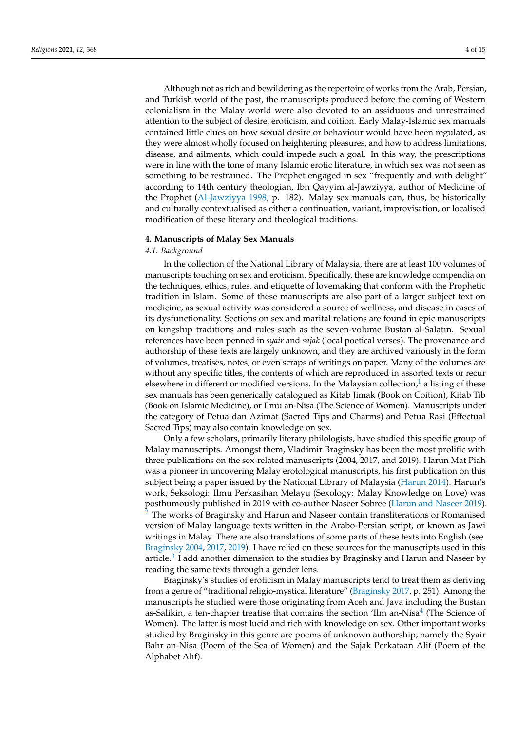Although not as rich and bewildering as the repertoire of works from the Arab, Persian, and Turkish world of the past, the manuscripts produced before the coming of Western colonialism in the Malay world were also devoted to an assiduous and unrestrained attention to the subject of desire, eroticism, and coition. Early Malay-Islamic sex manuals contained little clues on how sexual desire or behaviour would have been regulated, as they were almost wholly focused on heightening pleasures, and how to address limitations, disease, and ailments, which could impede such a goal. In this way, the prescriptions were in line with the tone of many Islamic erotic literature, in which sex was not seen as something to be restrained. The Prophet engaged in sex "frequently and with delight" according to 14th century theologian, Ibn Qayyim al-Jawziyya, author of Medicine of the Prophet [\(Al-Jawziyya](#page-13-5) [1998,](#page-13-5) p. 182). Malay sex manuals can, thus, be historically and culturally contextualised as either a continuation, variant, improvisation, or localised modification of these literary and theological traditions.

#### **4. Manuscripts of Malay Sex Manuals**

#### *4.1. Background*

In the collection of the National Library of Malaysia, there are at least 100 volumes of manuscripts touching on sex and eroticism. Specifically, these are knowledge compendia on the techniques, ethics, rules, and etiquette of lovemaking that conform with the Prophetic tradition in Islam. Some of these manuscripts are also part of a larger subject text on medicine, as sexual activity was considered a source of wellness, and disease in cases of its dysfunctionality. Sections on sex and marital relations are found in epic manuscripts on kingship traditions and rules such as the seven-volume Bustan al-Salatin. Sexual references have been penned in *syair* and *sajak* (local poetical verses). The provenance and authorship of these texts are largely unknown, and they are archived variously in the form of volumes, treatises, notes, or even scraps of writings on paper. Many of the volumes are without any specific titles, the contents of which are reproduced in assorted texts or recur elsewhere in different or modified versions. In the Malaysian collection, $\frac{1}{1}$  $\frac{1}{1}$  $\frac{1}{1}$  a listing of these sex manuals has been generically catalogued as Kitab Jimak (Book on Coition), Kitab Tib (Book on Islamic Medicine), or Ilmu an-Nisa (The Science of Women). Manuscripts under the category of Petua dan Azimat (Sacred Tips and Charms) and Petua Rasi (Effectual Sacred Tips) may also contain knowledge on sex.

Only a few scholars, primarily literary philologists, have studied this specific group of Malay manuscripts. Amongst them, Vladimir Braginsky has been the most prolific with three publications on the sex-related manuscripts (2004, 2017, and 2019). Harun Mat Piah was a pioneer in uncovering Malay erotological manuscripts, his first publication on this subject being a paper issued by the National Library of Malaysia [\(Harun](#page-14-16) [2014\)](#page-14-16). Harun's work, Seksologi: Ilmu Perkasihan Melayu (Sexology: Malay Knowledge on Love) was posthumously published in 2019 with co-author Naseer Sobree [\(Harun and Naseer](#page-14-17) [2019\)](#page-14-17). [2](#page-13-7) The works of Braginsky and Harun and Naseer contain transliterations or Romanised version of Malay language texts written in the Arabo-Persian script, or known as Jawi writings in Malay. There are also translations of some parts of these texts into English (see [Braginsky](#page-13-8) [2004,](#page-13-8) [2017,](#page-13-9) [2019\)](#page-13-10). I have relied on these sources for the manuscripts used in this article. $3$  I add another dimension to the studies by Braginsky and Harun and Naseer by reading the same texts through a gender lens.

Braginsky's studies of eroticism in Malay manuscripts tend to treat them as deriving from a genre of "traditional religio-mystical literature" [\(Braginsky](#page-13-9) [2017,](#page-13-9) p. 251). Among the manuscripts he studied were those originating from Aceh and Java including the Bustan as-Salikin, a ten-chapter treatise that contains the section 'Ilm an-Nisa<sup>[4](#page-13-12)</sup> (The Science of Women). The latter is most lucid and rich with knowledge on sex. Other important works studied by Braginsky in this genre are poems of unknown authorship, namely the Syair Bahr an-Nisa (Poem of the Sea of Women) and the Sajak Perkataan Alif (Poem of the Alphabet Alif).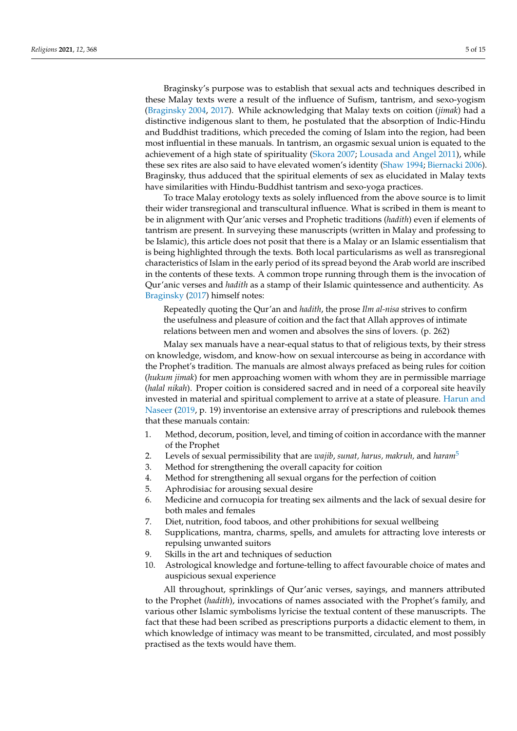Braginsky's purpose was to establish that sexual acts and techniques described in these Malay texts were a result of the influence of Sufism, tantrism, and sexo-yogism [\(Braginsky](#page-13-8) [2004,](#page-13-8) [2017\)](#page-13-9). While acknowledging that Malay texts on coition (*jimak*) had a distinctive indigenous slant to them, he postulated that the absorption of Indic-Hindu and Buddhist traditions, which preceded the coming of Islam into the region, had been most influential in these manuals. In tantrism, an orgasmic sexual union is equated to the achievement of a high state of spirituality [\(Skora](#page-14-18) [2007;](#page-14-18) [Lousada and Angel](#page-14-19) [2011\)](#page-14-19), while these sex rites are also said to have elevated women's identity [\(Shaw](#page-14-20) [1994;](#page-14-20) [Biernacki](#page-13-13) [2006\)](#page-13-13). Braginsky, thus adduced that the spiritual elements of sex as elucidated in Malay texts have similarities with Hindu-Buddhist tantrism and sexo-yoga practices.

To trace Malay erotology texts as solely influenced from the above source is to limit their wider transregional and transcultural influence. What is scribed in them is meant to be in alignment with Qur'anic verses and Prophetic traditions (*hadith*) even if elements of tantrism are present. In surveying these manuscripts (written in Malay and professing to be Islamic), this article does not posit that there is a Malay or an Islamic essentialism that is being highlighted through the texts. Both local particularisms as well as transregional characteristics of Islam in the early period of its spread beyond the Arab world are inscribed in the contents of these texts. A common trope running through them is the invocation of Qur'anic verses and *hadith* as a stamp of their Islamic quintessence and authenticity. As [Braginsky](#page-13-9) [\(2017\)](#page-13-9) himself notes:

Repeatedly quoting the Qur'an and *hadith*, the prose *Ilm al-nisa* strives to confirm the usefulness and pleasure of coition and the fact that Allah approves of intimate relations between men and women and absolves the sins of lovers. (p. 262)

Malay sex manuals have a near-equal status to that of religious texts, by their stress on knowledge, wisdom, and know-how on sexual intercourse as being in accordance with the Prophet's tradition. The manuals are almost always prefaced as being rules for coition (*hukum jimak*) for men approaching women with whom they are in permissible marriage (*halal nikah*). Proper coition is considered sacred and in need of a corporeal site heavily invested in material and spiritual complement to arrive at a state of pleasure. [Harun and](#page-14-17) [Naseer](#page-14-17) [\(2019,](#page-14-17) p. 19) inventorise an extensive array of prescriptions and rulebook themes that these manuals contain:

- 1. Method, decorum, position, level, and timing of coition in accordance with the manner of the Prophet
- 2. Levels of sexual permissibility that are *wajib*, *sunat, harus, makruh,* and *haram*[5](#page-13-14)
- 3. Method for strengthening the overall capacity for coition
- 4. Method for strengthening all sexual organs for the perfection of coition
- 5. Aphrodisiac for arousing sexual desire
- 6. Medicine and cornucopia for treating sex ailments and the lack of sexual desire for both males and females
- 7. Diet, nutrition, food taboos, and other prohibitions for sexual wellbeing
- 8. Supplications, mantra, charms, spells, and amulets for attracting love interests or repulsing unwanted suitors
- 9. Skills in the art and techniques of seduction
- 10. Astrological knowledge and fortune-telling to affect favourable choice of mates and auspicious sexual experience

All throughout, sprinklings of Qur'anic verses, sayings, and manners attributed to the Prophet (*hadith*), invocations of names associated with the Prophet's family, and various other Islamic symbolisms lyricise the textual content of these manuscripts. The fact that these had been scribed as prescriptions purports a didactic element to them, in which knowledge of intimacy was meant to be transmitted, circulated, and most possibly practised as the texts would have them.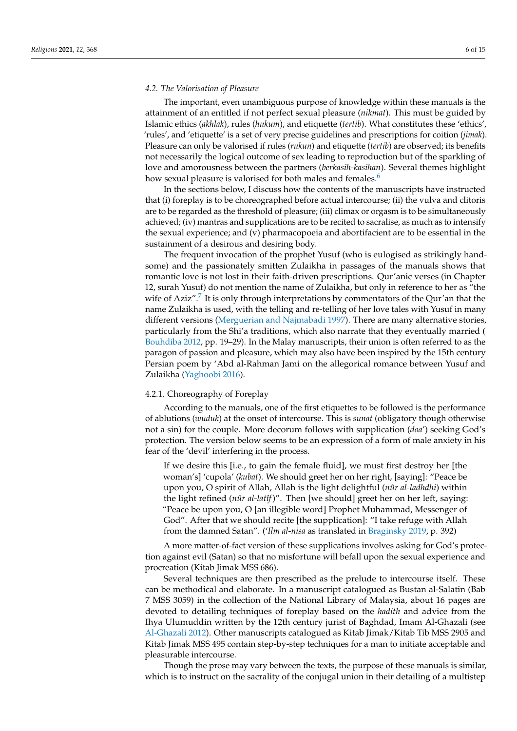#### *4.2. The Valorisation of Pleasure*

The important, even unambiguous purpose of knowledge within these manuals is the attainment of an entitled if not perfect sexual pleasure (*nikmat*). This must be guided by Islamic ethics (*akhlak*), rules (*hukum*), and etiquette (*tertib*). What constitutes these 'ethics', 'rules', and 'etiquette' is a set of very precise guidelines and prescriptions for coition (*jimak*). Pleasure can only be valorised if rules (*rukun*) and etiquette (*tertib*) are observed; its benefits not necessarily the logical outcome of sex leading to reproduction but of the sparkling of love and amorousness between the partners (*berkasih-kasihan*). Several themes highlight how sexual pleasure is valorised for both males and females.<sup>[6](#page-13-15)</sup>

In the sections below, I discuss how the contents of the manuscripts have instructed that (i) foreplay is to be choreographed before actual intercourse; (ii) the vulva and clitoris are to be regarded as the threshold of pleasure; (iii) climax or orgasm is to be simultaneously achieved; (iv) mantras and supplications are to be recited to sacralise, as much as to intensify the sexual experience; and (v) pharmacopoeia and abortifacient are to be essential in the sustainment of a desirous and desiring body.

The frequent invocation of the prophet Yusuf (who is eulogised as strikingly handsome) and the passionately smitten Zulaikha in passages of the manuals shows that romantic love is not lost in their faith-driven prescriptions. Qur'anic verses (in Chapter 12, surah Yusuf) do not mention the name of Zulaikha, but only in reference to her as "the wife of Aziz".<sup>[7](#page-13-16)</sup> It is only through interpretations by commentators of the Qur'an that the name Zulaikha is used, with the telling and re-telling of her love tales with Yusuf in many different versions [\(Merguerian and Najmabadi](#page-14-21) [1997\)](#page-14-21). There are many alternative stories, particularly from the Shi'a traditions, which also narrate that they eventually married [\(](#page-13-1) [Bouhdiba](#page-13-1) [2012,](#page-13-1) pp. 19–29). In the Malay manuscripts, their union is often referred to as the paragon of passion and pleasure, which may also have been inspired by the 15th century Persian poem by 'Abd al-Rahman Jami on the allegorical romance between Yusuf and Zulaikha [\(Yaghoobi](#page-14-22) [2016\)](#page-14-22).

## 4.2.1. Choreography of Foreplay

According to the manuals, one of the first etiquettes to be followed is the performance of ablutions (*wuduk*) at the onset of intercourse. This is *sunat* (obligatory though otherwise not a sin) for the couple. More decorum follows with supplication (*doa*') seeking God's protection. The version below seems to be an expression of a form of male anxiety in his fear of the 'devil' interfering in the process.

If we desire this [i.e., to gain the female fluid], we must first destroy her [the woman's] 'cupola' (*kubat*). We should greet her on her right, [saying]: "Peace be upon you, O spirit of Allah, Allah is the light delightful (*nûr al-ladhdhi*) within the light refined (*nûr al-latîf*)". Then [we should] greet her on her left, saying: "Peace be upon you, O [an illegible word] Prophet Muhammad, Messenger of God". After that we should recite [the supplication]: "I take refuge with Allah from the damned Satan". ('*Ilm al-nisa* as translated in [Braginsky](#page-13-10) [2019,](#page-13-10) p. 392)

A more matter-of-fact version of these supplications involves asking for God's protection against evil (Satan) so that no misfortune will befall upon the sexual experience and procreation (Kitab Jimak MSS 686).

Several techniques are then prescribed as the prelude to intercourse itself. These can be methodical and elaborate. In a manuscript catalogued as Bustan al-Salatin (Bab 7 MSS 3059) in the collection of the National Library of Malaysia, about 16 pages are devoted to detailing techniques of foreplay based on the *hadith* and advice from the Ihya Ulumuddin written by the 12th century jurist of Baghdad, Imam Al-Ghazali (see [Al-Ghazali](#page-13-17) [2012\)](#page-13-17). Other manuscripts catalogued as Kitab Jimak/Kitab Tib MSS 2905 and Kitab Jimak MSS 495 contain step-by-step techniques for a man to initiate acceptable and pleasurable intercourse.

Though the prose may vary between the texts, the purpose of these manuals is similar, which is to instruct on the sacrality of the conjugal union in their detailing of a multistep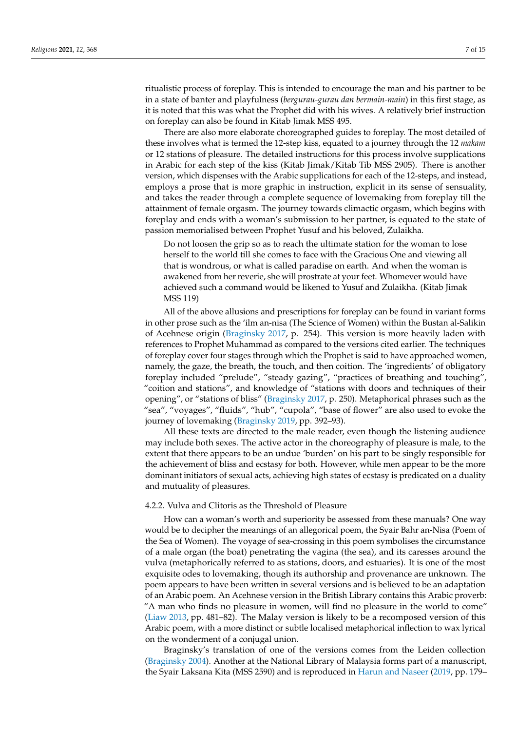ritualistic process of foreplay. This is intended to encourage the man and his partner to be in a state of banter and playfulness (*bergurau-gurau dan bermain-main*) in this first stage, as it is noted that this was what the Prophet did with his wives. A relatively brief instruction on foreplay can also be found in Kitab Jimak MSS 495.

There are also more elaborate choreographed guides to foreplay. The most detailed of these involves what is termed the 12-step kiss, equated to a journey through the 12 *makam* or 12 stations of pleasure. The detailed instructions for this process involve supplications in Arabic for each step of the kiss (Kitab Jimak/Kitab Tib MSS 2905). There is another version, which dispenses with the Arabic supplications for each of the 12-steps, and instead, employs a prose that is more graphic in instruction, explicit in its sense of sensuality, and takes the reader through a complete sequence of lovemaking from foreplay till the attainment of female orgasm. The journey towards climactic orgasm, which begins with foreplay and ends with a woman's submission to her partner, is equated to the state of passion memorialised between Prophet Yusuf and his beloved, Zulaikha.

Do not loosen the grip so as to reach the ultimate station for the woman to lose herself to the world till she comes to face with the Gracious One and viewing all that is wondrous, or what is called paradise on earth. And when the woman is awakened from her reverie, she will prostrate at your feet. Whomever would have achieved such a command would be likened to Yusuf and Zulaikha. (Kitab Jimak MSS 119)

All of the above allusions and prescriptions for foreplay can be found in variant forms in other prose such as the 'ilm an-nisa (The Science of Women) within the Bustan al-Salikin of Acehnese origin [\(Braginsky](#page-13-9) [2017,](#page-13-9) p. 254). This version is more heavily laden with references to Prophet Muhammad as compared to the versions cited earlier. The techniques of foreplay cover four stages through which the Prophet is said to have approached women, namely, the gaze, the breath, the touch, and then coition. The 'ingredients' of obligatory foreplay included "prelude", "steady gazing", "practices of breathing and touching", "coition and stations", and knowledge of "stations with doors and techniques of their opening", or "stations of bliss" [\(Braginsky](#page-13-9) [2017,](#page-13-9) p. 250). Metaphorical phrases such as the "sea", "voyages", "fluids", "hub", "cupola", "base of flower" are also used to evoke the journey of lovemaking [\(Braginsky](#page-13-10) [2019,](#page-13-10) pp. 392–93).

All these texts are directed to the male reader, even though the listening audience may include both sexes. The active actor in the choreography of pleasure is male, to the extent that there appears to be an undue 'burden' on his part to be singly responsible for the achievement of bliss and ecstasy for both. However, while men appear to be the more dominant initiators of sexual acts, achieving high states of ecstasy is predicated on a duality and mutuality of pleasures.

#### 4.2.2. Vulva and Clitoris as the Threshold of Pleasure

How can a woman's worth and superiority be assessed from these manuals? One way would be to decipher the meanings of an allegorical poem, the Syair Bahr an-Nisa (Poem of the Sea of Women). The voyage of sea-crossing in this poem symbolises the circumstance of a male organ (the boat) penetrating the vagina (the sea), and its caresses around the vulva (metaphorically referred to as stations, doors, and estuaries). It is one of the most exquisite odes to lovemaking, though its authorship and provenance are unknown. The poem appears to have been written in several versions and is believed to be an adaptation of an Arabic poem. An Acehnese version in the British Library contains this Arabic proverb: "A man who finds no pleasure in women, will find no pleasure in the world to come" [\(Liaw](#page-14-23) [2013,](#page-14-23) pp. 481–82). The Malay version is likely to be a recomposed version of this Arabic poem, with a more distinct or subtle localised metaphorical inflection to wax lyrical on the wonderment of a conjugal union.

Braginsky's translation of one of the versions comes from the Leiden collection [\(Braginsky](#page-13-8) [2004\)](#page-13-8). Another at the National Library of Malaysia forms part of a manuscript, the Syair Laksana Kita (MSS 2590) and is reproduced in [Harun and Naseer](#page-14-17) [\(2019,](#page-14-17) pp. 179–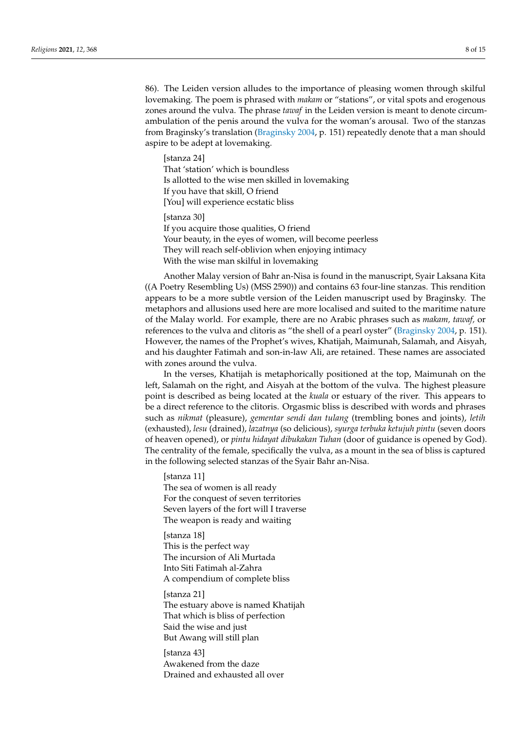86). The Leiden version alludes to the importance of pleasing women through skilful lovemaking. The poem is phrased with *makam* or "stations", or vital spots and erogenous zones around the vulva. The phrase *tawaf* in the Leiden version is meant to denote circumambulation of the penis around the vulva for the woman's arousal. Two of the stanzas from Braginsky's translation [\(Braginsky](#page-13-8) [2004,](#page-13-8) p. 151) repeatedly denote that a man should aspire to be adept at lovemaking.

[stanza 24] That 'station' which is boundless Is allotted to the wise men skilled in lovemaking If you have that skill, O friend [You] will experience ecstatic bliss

[stanza 30] If you acquire those qualities, O friend Your beauty, in the eyes of women, will become peerless They will reach self-oblivion when enjoying intimacy With the wise man skilful in lovemaking

Another Malay version of Bahr an-Nisa is found in the manuscript, Syair Laksana Kita ((A Poetry Resembling Us) (MSS 2590)) and contains 63 four-line stanzas. This rendition appears to be a more subtle version of the Leiden manuscript used by Braginsky. The metaphors and allusions used here are more localised and suited to the maritime nature of the Malay world. For example, there are no Arabic phrases such as *makam, tawaf,* or references to the vulva and clitoris as "the shell of a pearl oyster" [\(Braginsky](#page-13-8) [2004,](#page-13-8) p. 151). However, the names of the Prophet's wives, Khatijah, Maimunah, Salamah, and Aisyah, and his daughter Fatimah and son-in-law Ali, are retained. These names are associated with zones around the vulva.

In the verses, Khatijah is metaphorically positioned at the top, Maimunah on the left, Salamah on the right, and Aisyah at the bottom of the vulva. The highest pleasure point is described as being located at the *kuala* or estuary of the river. This appears to be a direct reference to the clitoris. Orgasmic bliss is described with words and phrases such as *nikmat* (pleasure), *gementar sendi dan tulang* (trembling bones and joints), *letih* (exhausted), *lesu* (drained), *lazatnya* (so delicious), *syurga terbuka ketujuh pintu* (seven doors of heaven opened), or *pintu hidayat dibukakan Tuhan* (door of guidance is opened by God). The centrality of the female, specifically the vulva, as a mount in the sea of bliss is captured in the following selected stanzas of the Syair Bahr an-Nisa.

[stanza 11] The sea of women is all ready For the conquest of seven territories Seven layers of the fort will I traverse The weapon is ready and waiting

[stanza 18] This is the perfect way The incursion of Ali Murtada Into Siti Fatimah al-Zahra A compendium of complete bliss

[stanza 21] The estuary above is named Khatijah That which is bliss of perfection Said the wise and just But Awang will still plan

[stanza 43] Awakened from the daze Drained and exhausted all over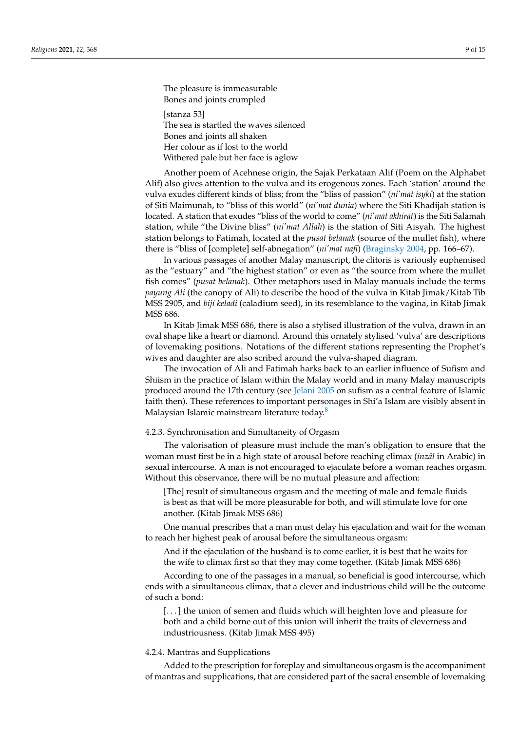The pleasure is immeasurable Bones and joints crumpled [stanza 53] The sea is startled the waves silenced Bones and joints all shaken

Her colour as if lost to the world Withered pale but her face is aglow

Another poem of Acehnese origin, the Sajak Perkataan Alif (Poem on the Alphabet Alif) also gives attention to the vulva and its erogenous zones. Each 'station' around the vulva exudes different kinds of bliss; from the "bliss of passion" (*ni'mat isyki*) at the station of Siti Maimunah, to "bliss of this world" (*ni'mat dunia*) where the Siti Khadijah station is located. A station that exudes "bliss of the world to come" (*ni'mat akhirat*) is the Siti Salamah station, while "the Divine bliss" (*ni'mat Allah*) is the station of Siti Aisyah. The highest station belongs to Fatimah, located at the *pusat belanak* (source of the mullet fish), where there is "bliss of [complete] self-abnegation" (*ni'mat nafi*) [\(Braginsky](#page-13-8) [2004,](#page-13-8) pp. 166–67).

In various passages of another Malay manuscript, the clitoris is variously euphemised as the "estuary" and "the highest station" or even as "the source from where the mullet fish comes" (*pusat belanak*). Other metaphors used in Malay manuals include the terms *payung Ali* (the canopy of Ali) to describe the hood of the vulva in Kitab Jimak/Kitab Tib MSS 2905, and *biji keladi* (caladium seed), in its resemblance to the vagina, in Kitab Jimak MSS 686.

In Kitab Jimak MSS 686, there is also a stylised illustration of the vulva, drawn in an oval shape like a heart or diamond. Around this ornately stylised 'vulva' are descriptions of lovemaking positions. Notations of the different stations representing the Prophet's wives and daughter are also scribed around the vulva-shaped diagram.

The invocation of Ali and Fatimah harks back to an earlier influence of Sufism and Shiism in the practice of Islam within the Malay world and in many Malay manuscripts produced around the 17th century (see [Jelani](#page-14-24) [2005](#page-14-24) on sufism as a central feature of Islamic faith then). These references to important personages in Shi'a Islam are visibly absent in Malaysian Islamic mainstream literature today.<sup>[8](#page-13-18)</sup>

## 4.2.3. Synchronisation and Simultaneity of Orgasm

The valorisation of pleasure must include the man's obligation to ensure that the woman must first be in a high state of arousal before reaching climax (*inzâl* in Arabic) in sexual intercourse. A man is not encouraged to ejaculate before a woman reaches orgasm. Without this observance, there will be no mutual pleasure and affection:

[The] result of simultaneous orgasm and the meeting of male and female fluids is best as that will be more pleasurable for both, and will stimulate love for one another. (Kitab Jimak MSS 686)

One manual prescribes that a man must delay his ejaculation and wait for the woman to reach her highest peak of arousal before the simultaneous orgasm:

And if the ejaculation of the husband is to come earlier, it is best that he waits for the wife to climax first so that they may come together. (Kitab Jimak MSS 686)

According to one of the passages in a manual, so beneficial is good intercourse, which ends with a simultaneous climax, that a clever and industrious child will be the outcome of such a bond:

[. . . ] the union of semen and fluids which will heighten love and pleasure for both and a child borne out of this union will inherit the traits of cleverness and industriousness. (Kitab Jimak MSS 495)

#### 4.2.4. Mantras and Supplications

Added to the prescription for foreplay and simultaneous orgasm is the accompaniment of mantras and supplications, that are considered part of the sacral ensemble of lovemaking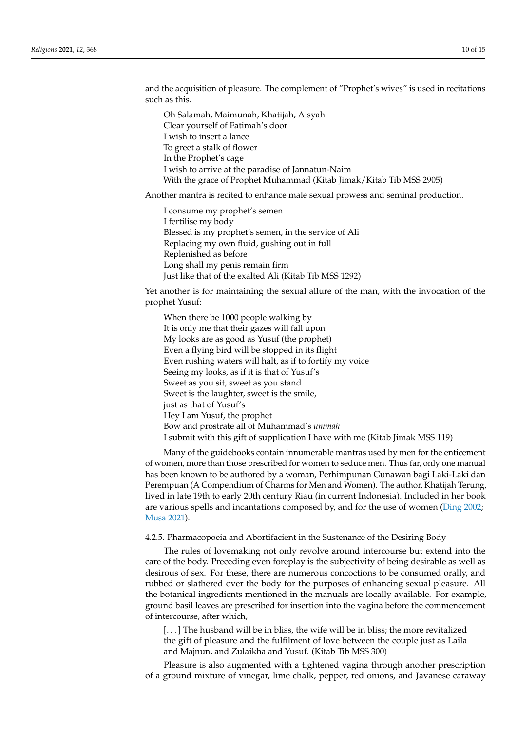and the acquisition of pleasure. The complement of "Prophet's wives" is used in recitations such as this.

Oh Salamah, Maimunah, Khatijah, Aisyah Clear yourself of Fatimah's door I wish to insert a lance To greet a stalk of flower In the Prophet's cage I wish to arrive at the paradise of Jannatun-Naim With the grace of Prophet Muhammad (Kitab Jimak/Kitab Tib MSS 2905)

Another mantra is recited to enhance male sexual prowess and seminal production.

I consume my prophet's semen I fertilise my body Blessed is my prophet's semen, in the service of Ali Replacing my own fluid, gushing out in full Replenished as before Long shall my penis remain firm Just like that of the exalted Ali (Kitab Tib MSS 1292)

Yet another is for maintaining the sexual allure of the man, with the invocation of the prophet Yusuf:

When there be 1000 people walking by It is only me that their gazes will fall upon My looks are as good as Yusuf (the prophet) Even a flying bird will be stopped in its flight Even rushing waters will halt, as if to fortify my voice Seeing my looks, as if it is that of Yusuf's Sweet as you sit, sweet as you stand Sweet is the laughter, sweet is the smile, just as that of Yusuf's Hey I am Yusuf, the prophet Bow and prostrate all of Muhammad's *ummah* I submit with this gift of supplication I have with me (Kitab Jimak MSS 119)

Many of the guidebooks contain innumerable mantras used by men for the enticement of women, more than those prescribed for women to seduce men. Thus far, only one manual has been known to be authored by a woman, Perhimpunan Gunawan bagi Laki-Laki dan Perempuan (A Compendium of Charms for Men and Women). The author, Khatijah Terung, lived in late 19th to early 20th century Riau (in current Indonesia). Included in her book are various spells and incantations composed by, and for the use of women [\(Ding](#page-14-25) [2002;](#page-14-25) [Musa](#page-14-26) [2021\)](#page-14-26).

#### 4.2.5. Pharmacopoeia and Abortifacient in the Sustenance of the Desiring Body

The rules of lovemaking not only revolve around intercourse but extend into the care of the body. Preceding even foreplay is the subjectivity of being desirable as well as desirous of sex. For these, there are numerous concoctions to be consumed orally, and rubbed or slathered over the body for the purposes of enhancing sexual pleasure. All the botanical ingredients mentioned in the manuals are locally available. For example, ground basil leaves are prescribed for insertion into the vagina before the commencement of intercourse, after which,

[...] The husband will be in bliss, the wife will be in bliss; the more revitalized the gift of pleasure and the fulfilment of love between the couple just as Laila and Majnun, and Zulaikha and Yusuf. (Kitab Tib MSS 300)

Pleasure is also augmented with a tightened vagina through another prescription of a ground mixture of vinegar, lime chalk, pepper, red onions, and Javanese caraway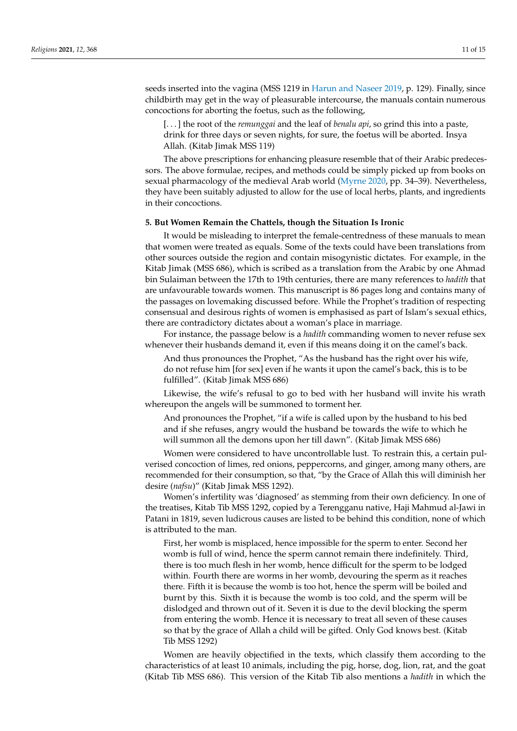seeds inserted into the vagina (MSS 1219 in [Harun and Naseer](#page-14-17) [2019,](#page-14-17) p. 129). Finally, since childbirth may get in the way of pleasurable intercourse, the manuals contain numerous concoctions for aborting the foetus, such as the following,

[. . . ] the root of the *remunggai* and the leaf of *benalu api*, so grind this into a paste, drink for three days or seven nights, for sure, the foetus will be aborted. Insya Allah. (Kitab Jimak MSS 119)

The above prescriptions for enhancing pleasure resemble that of their Arabic predecessors. The above formulae, recipes, and methods could be simply picked up from books on sexual pharmacology of the medieval Arab world [\(Myrne](#page-14-2) [2020,](#page-14-2) pp. 34–39). Nevertheless, they have been suitably adjusted to allow for the use of local herbs, plants, and ingredients in their concoctions.

## **5. But Women Remain the Chattels, though the Situation Is Ironic**

It would be misleading to interpret the female-centredness of these manuals to mean that women were treated as equals. Some of the texts could have been translations from other sources outside the region and contain misogynistic dictates. For example, in the Kitab Jimak (MSS 686), which is scribed as a translation from the Arabic by one Ahmad bin Sulaiman between the 17th to 19th centuries, there are many references to *hadith* that are unfavourable towards women. This manuscript is 86 pages long and contains many of the passages on lovemaking discussed before. While the Prophet's tradition of respecting consensual and desirous rights of women is emphasised as part of Islam's sexual ethics, there are contradictory dictates about a woman's place in marriage.

For instance, the passage below is a *hadith* commanding women to never refuse sex whenever their husbands demand it, even if this means doing it on the camel's back.

And thus pronounces the Prophet, "As the husband has the right over his wife, do not refuse him [for sex] even if he wants it upon the camel's back, this is to be fulfilled". (Kitab Jimak MSS 686)

Likewise, the wife's refusal to go to bed with her husband will invite his wrath whereupon the angels will be summoned to torment her.

And pronounces the Prophet, "if a wife is called upon by the husband to his bed and if she refuses, angry would the husband be towards the wife to which he will summon all the demons upon her till dawn". (Kitab Jimak MSS 686)

Women were considered to have uncontrollable lust. To restrain this, a certain pulverised concoction of limes, red onions, peppercorns, and ginger, among many others, are recommended for their consumption, so that, "by the Grace of Allah this will diminish her desire (*nafsu*)" (Kitab Jimak MSS 1292).

Women's infertility was 'diagnosed' as stemming from their own deficiency. In one of the treatises, Kitab Tib MSS 1292, copied by a Terengganu native, Haji Mahmud al-Jawi in Patani in 1819, seven ludicrous causes are listed to be behind this condition, none of which is attributed to the man.

First, her womb is misplaced, hence impossible for the sperm to enter. Second her womb is full of wind, hence the sperm cannot remain there indefinitely. Third, there is too much flesh in her womb, hence difficult for the sperm to be lodged within. Fourth there are worms in her womb, devouring the sperm as it reaches there. Fifth it is because the womb is too hot, hence the sperm will be boiled and burnt by this. Sixth it is because the womb is too cold, and the sperm will be dislodged and thrown out of it. Seven it is due to the devil blocking the sperm from entering the womb. Hence it is necessary to treat all seven of these causes so that by the grace of Allah a child will be gifted. Only God knows best. (Kitab Tib MSS 1292)

Women are heavily objectified in the texts, which classify them according to the characteristics of at least 10 animals, including the pig, horse, dog, lion, rat, and the goat (Kitab Tib MSS 686). This version of the Kitab Tib also mentions a *hadith* in which the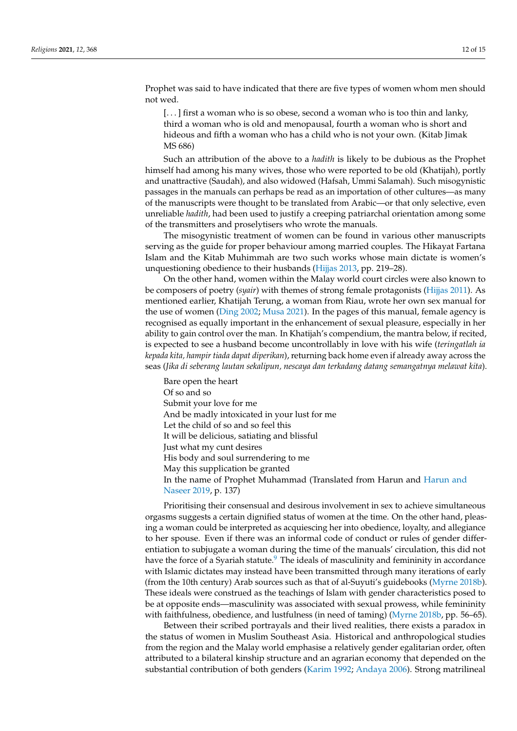Prophet was said to have indicated that there are five types of women whom men should not wed.

[. . . ] first a woman who is so obese, second a woman who is too thin and lanky, third a woman who is old and menopausal, fourth a woman who is short and hideous and fifth a woman who has a child who is not your own. (Kitab Jimak MS 686)

Such an attribution of the above to a *hadith* is likely to be dubious as the Prophet himself had among his many wives, those who were reported to be old (Khatijah), portly and unattractive (Saudah), and also widowed (Hafsah, Ummi Salamah). Such misogynistic passages in the manuals can perhaps be read as an importation of other cultures—as many of the manuscripts were thought to be translated from Arabic—or that only selective, even unreliable *hadith*, had been used to justify a creeping patriarchal orientation among some of the transmitters and proselytisers who wrote the manuals.

The misogynistic treatment of women can be found in various other manuscripts serving as the guide for proper behaviour among married couples. The Hikayat Fartana Islam and the Kitab Muhimmah are two such works whose main dictate is women's unquestioning obedience to their husbands [\(Hijjas](#page-14-27) [2013,](#page-14-27) pp. 219–28).

On the other hand, women within the Malay world court circles were also known to be composers of poetry (*syair*) with themes of strong female protagonists [\(Hijjas](#page-14-28) [2011\)](#page-14-28). As mentioned earlier, Khatijah Terung, a woman from Riau, wrote her own sex manual for the use of women [\(Ding](#page-14-25) [2002;](#page-14-25) [Musa](#page-14-26) [2021\)](#page-14-26). In the pages of this manual, female agency is recognised as equally important in the enhancement of sexual pleasure, especially in her ability to gain control over the man. In Khatijah's compendium, the mantra below, if recited, is expected to see a husband become uncontrollably in love with his wife (*teringatlah ia kepada kita, hampir tiada dapat diperikan*), returning back home even if already away across the seas (*Jika di seberang lautan sekalipun, nescaya dan terkadang datang semangatnya melawat kita*).

Bare open the heart Of so and so Submit your love for me And be madly intoxicated in your lust for me Let the child of so and so feel this It will be delicious, satiating and blissful Just what my cunt desires His body and soul surrendering to me May this supplication be granted In the name of Prophet Muhammad (Translated from Harun and [Harun and](#page-14-17) [Naseer](#page-14-17) [2019,](#page-14-17) p. 137)

Prioritising their consensual and desirous involvement in sex to achieve simultaneous orgasms suggests a certain dignified status of women at the time. On the other hand, pleasing a woman could be interpreted as acquiescing her into obedience, loyalty, and allegiance to her spouse. Even if there was an informal code of conduct or rules of gender differentiation to subjugate a woman during the time of the manuals' circulation, this did not have the force of a Syariah statute.<sup>[9](#page-13-19)</sup> The ideals of masculinity and femininity in accordance with Islamic dictates may instead have been transmitted through many iterations of early (from the 10th century) Arab sources such as that of al-Suyuti's guidebooks [\(Myrne](#page-14-5) [2018b\)](#page-14-5). These ideals were construed as the teachings of Islam with gender characteristics posed to be at opposite ends—masculinity was associated with sexual prowess, while femininity with faithfulness, obedience, and lustfulness (in need of taming) [\(Myrne](#page-14-5) [2018b,](#page-14-5) pp. 56–65).

Between their scribed portrayals and their lived realities, there exists a paradox in the status of women in Muslim Southeast Asia. Historical and anthropological studies from the region and the Malay world emphasise a relatively gender egalitarian order, often attributed to a bilateral kinship structure and an agrarian economy that depended on the substantial contribution of both genders [\(Karim](#page-14-29) [1992;](#page-14-29) [Andaya](#page-13-20) [2006\)](#page-13-20). Strong matrilineal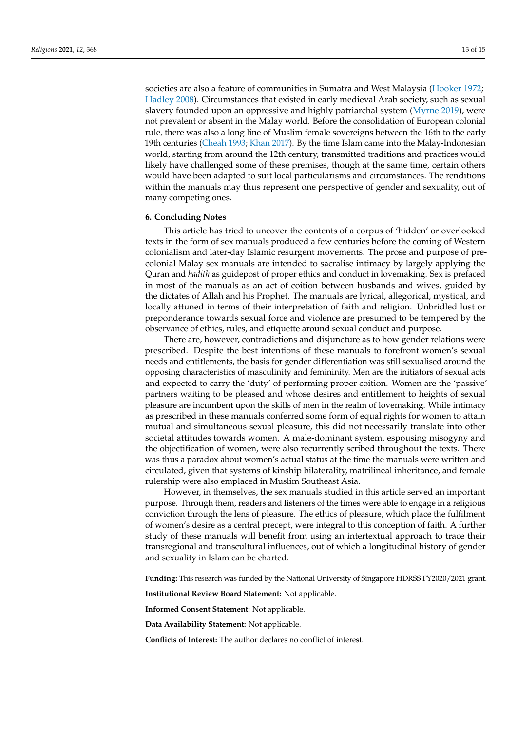societies are also a feature of communities in Sumatra and West Malaysia [\(Hooker](#page-14-30) [1972;](#page-14-30) [Hadley](#page-14-31) [2008\)](#page-14-31). Circumstances that existed in early medieval Arab society, such as sexual slavery founded upon an oppressive and highly patriarchal system [\(Myrne](#page-14-6) [2019\)](#page-14-6), were not prevalent or absent in the Malay world. Before the consolidation of European colonial rule, there was also a long line of Muslim female sovereigns between the 16th to the early 19th centuries [\(Cheah](#page-14-32) [1993;](#page-14-32) [Khan](#page-14-33) [2017\)](#page-14-33). By the time Islam came into the Malay-Indonesian world, starting from around the 12th century, transmitted traditions and practices would likely have challenged some of these premises, though at the same time, certain others would have been adapted to suit local particularisms and circumstances. The renditions within the manuals may thus represent one perspective of gender and sexuality, out of many competing ones.

#### **6. Concluding Notes**

This article has tried to uncover the contents of a corpus of 'hidden' or overlooked texts in the form of sex manuals produced a few centuries before the coming of Western colonialism and later-day Islamic resurgent movements. The prose and purpose of precolonial Malay sex manuals are intended to sacralise intimacy by largely applying the Quran and *hadith* as guidepost of proper ethics and conduct in lovemaking. Sex is prefaced in most of the manuals as an act of coition between husbands and wives, guided by the dictates of Allah and his Prophet. The manuals are lyrical, allegorical, mystical, and locally attuned in terms of their interpretation of faith and religion. Unbridled lust or preponderance towards sexual force and violence are presumed to be tempered by the observance of ethics, rules, and etiquette around sexual conduct and purpose.

There are, however, contradictions and disjuncture as to how gender relations were prescribed. Despite the best intentions of these manuals to forefront women's sexual needs and entitlements, the basis for gender differentiation was still sexualised around the opposing characteristics of masculinity and femininity. Men are the initiators of sexual acts and expected to carry the 'duty' of performing proper coition. Women are the 'passive' partners waiting to be pleased and whose desires and entitlement to heights of sexual pleasure are incumbent upon the skills of men in the realm of lovemaking. While intimacy as prescribed in these manuals conferred some form of equal rights for women to attain mutual and simultaneous sexual pleasure, this did not necessarily translate into other societal attitudes towards women. A male-dominant system, espousing misogyny and the objectification of women, were also recurrently scribed throughout the texts. There was thus a paradox about women's actual status at the time the manuals were written and circulated, given that systems of kinship bilaterality, matrilineal inheritance, and female rulership were also emplaced in Muslim Southeast Asia.

However, in themselves, the sex manuals studied in this article served an important purpose. Through them, readers and listeners of the times were able to engage in a religious conviction through the lens of pleasure. The ethics of pleasure, which place the fulfilment of women's desire as a central precept, were integral to this conception of faith. A further study of these manuals will benefit from using an intertextual approach to trace their transregional and transcultural influences, out of which a longitudinal history of gender and sexuality in Islam can be charted.

**Funding:** This research was funded by the National University of Singapore HDRSS FY2020/2021 grant.

**Institutional Review Board Statement:** Not applicable.

**Informed Consent Statement:** Not applicable.

**Data Availability Statement:** Not applicable.

**Conflicts of Interest:** The author declares no conflict of interest.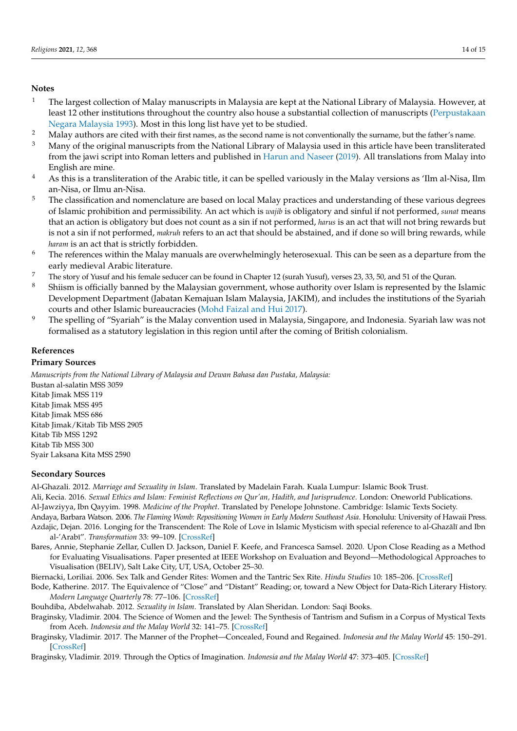## **Notes**

- <span id="page-13-6"></span><sup>1</sup> The largest collection of Malay manuscripts in Malaysia are kept at the National Library of Malaysia. However, at least 12 other institutions throughout the country also house a substantial collection of manuscripts [\(Perpustakaan](#page-14-34) [Negara Malaysia](#page-14-34) [1993\)](#page-14-34). Most in this long list have yet to be studied.
- <span id="page-13-7"></span>2 Malay authors are cited with their first names, as the second name is not conventionally the surname, but the father's name.<br>Many of the original manuscripts from the Malay of Malaysia used in this orticle have been tran
- <span id="page-13-11"></span><sup>3</sup> Many of the original manuscripts from the National Library of Malaysia used in this article have been transliterated from the jawi script into Roman letters and published in [Harun and Naseer](#page-14-17) [\(2019\)](#page-14-17). All translations from Malay into English are mine.
- <span id="page-13-12"></span><sup>4</sup> As this is a transliteration of the Arabic title, it can be spelled variously in the Malay versions as 'Ilm al-Nisa, Ilm an-Nisa, or Ilmu an-Nisa.
- <span id="page-13-14"></span><sup>5</sup> The classification and nomenclature are based on local Malay practices and understanding of these various degrees of Islamic prohibition and permissibility. An act which is *wajib* is obligatory and sinful if not performed, *sunat* means that an action is obligatory but does not count as a sin if not performed, *harus* is an act that will not bring rewards but is not a sin if not performed, *makruh* refers to an act that should be abstained, and if done so will bring rewards, while *haram* is an act that is strictly forbidden.
- <span id="page-13-15"></span> $6$  The references within the Malay manuals are overwhelmingly heterosexual. This can be seen as a departure from the early medieval Arabic literature.
- <span id="page-13-16"></span><sup>7</sup> The story of Yusuf and his female seducer can be found in Chapter 12 (surah Yusuf), verses 23, 33, 50, and 51 of the Quran.
- <span id="page-13-18"></span><sup>8</sup> Shiism is officially banned by the Malaysian government, whose authority over Islam is represented by the Islamic Development Department (Jabatan Kemajuan Islam Malaysia, JAKIM), and includes the institutions of the Syariah courts and other Islamic bureaucracies [\(Mohd Faizal and Hui](#page-14-35) [2017\)](#page-14-35).
- <span id="page-13-19"></span><sup>9</sup> The spelling of "Syariah" is the Malay convention used in Malaysia, Singapore, and Indonesia. Syariah law was not formalised as a statutory legislation in this region until after the coming of British colonialism.

## **References**

**Primary Sources**

*Manuscripts from the National Library of Malaysia and Dewan Bahasa dan Pustaka, Malaysia:* Bustan al-salatin MSS 3059 Kitab Jimak MSS 119 Kitab Jimak MSS 495 Kitab Jimak MSS 686 Kitab Jimak/Kitab Tib MSS 2905 Kitab Tib MSS 1292 Kitab Tib MSS 300 Syair Laksana Kita MSS 2590

## **Secondary Sources**

<span id="page-13-17"></span><span id="page-13-5"></span><span id="page-13-0"></span>Al-Ghazali. 2012. *Marriage and Sexuality in Islam*. Translated by Madelain Farah. Kuala Lumpur: Islamic Book Trust. Ali, Kecia. 2016. *Sexual Ethics and Islam: Feminist Reflections on Qur'an, Hadith, and Jurisprudence*. London: Oneworld Publications. Al-Jawziyya, Ibn Qayyim. 1998. *Medicine of the Prophet*. Translated by Penelope Johnstone. Cambridge: Islamic Texts Society. Andaya, Barbara Watson. 2006. *The Flaming Womb: Repositioning Women in Early Modern Southeast Asia*. Honolulu: University of Hawaii Press.

- <span id="page-13-20"></span><span id="page-13-4"></span>Azdajic, Dejan. 2016. Longing for the Transcendent: The Role of Love in Islamic Mysticism with special reference to al-Ghazālī and Ibn al-'Arab¯ı". *Transformation* 33: 99–109. [\[CrossRef\]](http://doi.org/10.1177/0265378815595237)
- <span id="page-13-3"></span>Bares, Annie, Stephanie Zellar, Cullen D. Jackson, Daniel F. Keefe, and Francesca Samsel. 2020. Upon Close Reading as a Method for Evaluating Visualisations. Paper presented at IEEE Workshop on Evaluation and Beyond—Methodological Approaches to Visualisation (BELIV), Salt Lake City, UT, USA, October 25–30.
- <span id="page-13-13"></span>Biernacki, Loriliai. 2006. Sex Talk and Gender Rites: Women and the Tantric Sex Rite. *Hindu Studies* 10: 185–206. [\[CrossRef\]](http://doi.org/10.1007/s11407-006-9022-4)
- <span id="page-13-2"></span>Bode, Katherine. 2017. The Equivalence of "Close" and "Distant" Reading; or, toward a New Object for Data-Rich Literary History. *Modern Language Quarterly* 78: 77–106. [\[CrossRef\]](http://doi.org/10.1215/00267929-3699787)
- <span id="page-13-1"></span>Bouhdiba, Abdelwahab. 2012. *Sexuality in Islam*. Translated by Alan Sheridan. London: Saqi Books.
- <span id="page-13-8"></span>Braginsky, Vladimir. 2004. The Science of Women and the Jewel: The Synthesis of Tantrism and Sufism in a Corpus of Mystical Texts from Aceh. *Indonesia and the Malay World* 32: 141–75. [\[CrossRef\]](http://doi.org/10.1080/1363981042000320116)
- <span id="page-13-9"></span>Braginsky, Vladimir. 2017. The Manner of the Prophet—Concealed, Found and Regained. *Indonesia and the Malay World* 45: 150–291. [\[CrossRef\]](http://doi.org/10.1080/13639811.2017.1314637)

<span id="page-13-10"></span>Braginsky, Vladimir. 2019. Through the Optics of Imagination. *Indonesia and the Malay World* 47: 373–405. [\[CrossRef\]](http://doi.org/10.1080/13639811.2019.1662061)